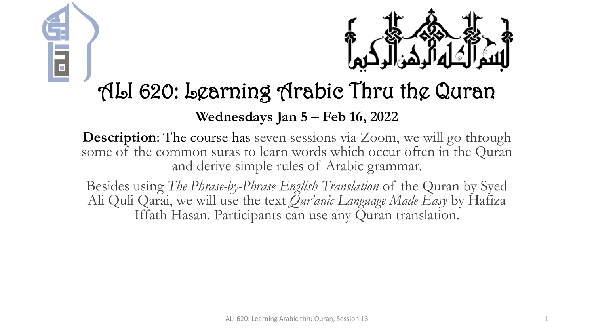



### ALI 620: Learning Arabic Thru the Quran

### **Wednesdays Jan 5 – Feb 16, 2022**

**Description:** The course has seven sessions via Zoom, we will go through some of the common suras to learn words which occur often in the Quran and derive simple rules of Arabic grammar.

Besides using *The Phrase-by-Phrase English Translation* of the Quran by Syed Ali Quli Qarai, we will use the text *Qur'anic Language Made Easy* by Hafiza Iffath Hasan. Participants can use any Quran translation.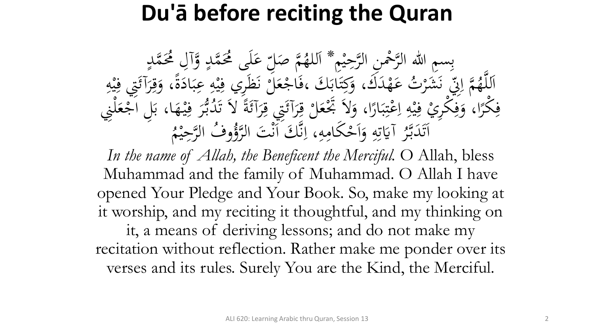### **Du'ā before reciting the Quran**

بِسِمِ اللهِ الرَّحْمِنِ الرَّحِيْمِ \* اَللهُمَّ صَلِّ<br>مَّذَبَهُ وَصَلَّى الرَّحِيْمِ \* اَللهُمَّ صَل م<br>م ه<br>يه ب<br>ه **€** للهُمَّ صَلِّ عَلَى مُحَمَّدٍ وَّآلِ مُحَمَّدٍ<br>مدين من الله  $\frac{1}{2}$ ا  $\overline{a}$  $\overline{a}$ لم<br>ح ى<br>. َ َك مد ه ت ع **ک** رت<br>.。 شر َ َ ن<br>فر س<br>رقب<br>رقب مَّة إِلَيْ<br>مَ إِلَيْ  $\overline{\mathcal{L}}$ ا ہے<br>، اَللَّهُمَّ إِنِّي نَشَرْتُ عَهْدَكَ، وَكِتَابَكَ ،فَاجْعَلَّ نَظَرِي فِيْهِ عِبَادَةً، وَقِرَآئَتِي فِيْهِ<br>حَمَّا رَبِّي مَشَرْتُ عَهْدَكَ، وَكِتَابَكَ ،فَاجْعَلَّ نَظَرِي فِيْهِ عِبَادَةً، وَقِرَآئَتِي فِيْهِ ا<br>۔  $\frac{1}{2}$ بز و<br>را ا<br>ما  $\ddot{\cdot}$ بر ِ  $\frac{1}{2}$ ه<br>به <u>،</u> بر<br>فر م ر<br>بر<br>بر <u>ة</u>  $\ddot{\circ}$ ر<br>ا <u>ة</u> َ ِ مد<br>م ه<br>بد <u>،</u> م<br>گ ر<br>گ  $\int$  $\overline{\phantom{a}}$ فِكْرًا، وَفِكْرِيْ فِيْهِ اِعْتِبَارًا، وَلاَ تَجْعَلْ قِرَآئَتِي قِرَآئَةً لاَ تَدُبُّرَ فِيْهَا، بَلِ اَجْعَلْنِي<br>مَكْرًا، وَفِكْرِيْ فِيْهِ إِعْتِبَارًا، وَلاَ تَجْعَلْ قِرَآئَتِي قِرَآئَةً لاَ تَدُبُّرَ فِيْهَا، بَلِ  $\frac{1}{2}$  $\ddot{\cdot}$ ۰.<br>ه ہ<br>ر ر<br>ا  $\ddot{\cdot}$ بر  $\ddot{.}$ :<br>\*<br>/ ى<br>م  $\frac{1}{2}$ ا ِ  $\frac{1}{2}$ ه<br>به ِ<br>ِهِ و<br>ِ ر<br>ا **ٔ فا** م ر<br>ر ِ<br>په م<br>گ ë<br>. م<br>گ ر<br>گ ت<br>ا **م**<br>. ب<br>.  $\epsilon$  $\ddot{\mathbf{r}}$ ِ ر<br>tı ِ آيَاتِهِ وَأَحْكَامِهِ  $\mathbf{A}$ ا<br>م  $\frac{1}{2}$ ا ہ<br>ر ِ ِ<br>ٽ قة<br>م  $\ddot{\ddot{\bm{x}}}$ ر<br>س اَتَدَبَّرُ آيَاتِهِ وَاَحْكَامِهِ، اِنَّكَ اَنْتَ ا<br>مستقط الله عليها الله عليها الله ل<br>ا تى<br>. بر<br>ن  $\ddot{\phantom{0}}$  $\ddot{\phantom{a}}$ .<br>ر ق.<br>ف  $\int$ بر<br>ز  $\overline{\mathcal{L}}$ ا م<br>. وفُ الرَّحِيْمُ  $\ddot{ }$ ه<br>ي لتَوُّرُّ<br>لروًّا

In the name of Allah, the Beneficent the Merciful. O Allah, bless Muhammad and the family of Muhammad. O Allah I have opened Your Pledge and Your Book. So, make my looking at it worship, and my reciting it thoughtful, and my thinking on it, a means of deriving lessons; and do not make my recitation without reflection. Rather make me ponder over its verses and its rules. Surely You are the Kind, the Merciful.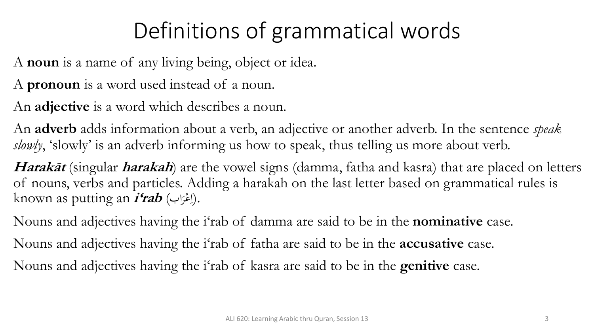# Definitions of grammatical words

A **noun** is a name of any living being, object or idea.

A **pronoun** is a word used instead of a noun.

An **adjective** is a word which describes a noun.

An **adverb** adds information about a verb, an adjective or another adverb. In the sentence *speak*  slowly, 'slowly' is an adverb informing us how to speak, thus telling us more about verb.

**Harakāt** (singular **harakah**) are the vowel signs (damma, fatha and kasra) that are placed on letters of nouns, verbs and particles. Adding a harakah on the last letter based on grammatical rules is known as putting an **i'rab** (اب مر ع .(ا ر<br>.  $\overline{\mathcal{L}}$ 

Nouns and adjectives having the i'rab of damma are said to be in the **nominative** case. Nouns and adjectives having the i'rab of fatha are said to be in the **accusative** case. Nouns and adjectives having the i'rab of kasra are said to be in the **genitive** case.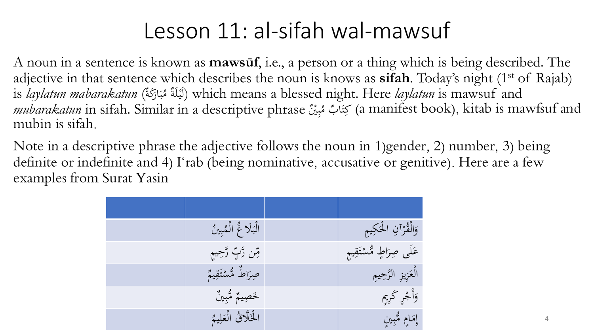## Lesson 11: al-sifah wal-mawsuf

A noun in a sentence is known as **mawsūf**, i.e., a person or a thing which is being described. The adjective in that sentence which describes the noun is knows as **sifah**. Today's night (1<sup>st</sup> of Rajab) is *laylatun mabarakatun* (لَيْلَةٌ مُبَارَكَةٌ) which means a blessed night. Here *laylatun* is mawsuf and .<br>.<br>. ر<br>、  $\boldsymbol{\dot{\cdot}}$ ب **ه** *mubarakatun* in sifah. Similar in a descriptive phrase مُبِيْنٌ  $\ddot{\cdot}$ بد بَيَّابٌ مُ (a manifest book), kitab is mawfsuf and  $\ddot{\lambda}$ ت mubin is sifah.

Note in a descriptive phrase the adjective follows the noun in 1)gender, 2) number, 3) being definite or indefinite and 4) I'rab (being nominative, accusative or genitive). Here are a few examples from Surat Yasin

| الْبَلَا غُ الْمُبِينُ | وَالْقُرْآنِ الْحَكِيمِ    |
|------------------------|----------------------------|
| مِّن رَّبِّ رَّحِيمِ   | عَلَى صِرَاطٍ مُّسْتَقِيمٍ |
| حبراطٌ مُّسْتَقِيمٌ    | الْعَزِيزِ الرَّحِيمِ      |
| خَصِيمٌ مُّبِينٌ       | وَأَجْرٍ كَرِيمٍ           |
| الْخَلَّاقُ الْعَلِيمُ | إمَامٍ مُثْبِينٍ           |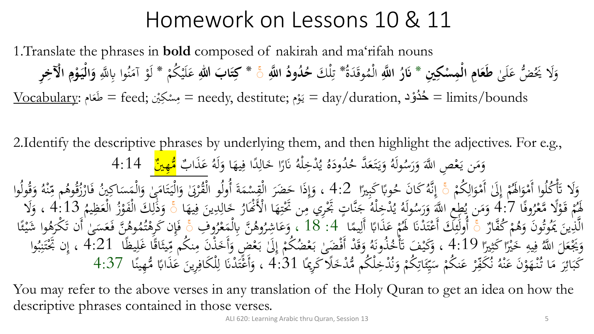## Homework on Lessons 10 & 11

1.Translate the phrases in **bold** composed of nakirah and ma'rifah nouns ا<br>ا وَلَا يَحُضُّ عَلَىٰ **طَعَامِ الْمِسْكِينِ \* نَارُ اللَّهِ ک** َ **ْ َ نَارُ اللَّه**ِ الْمُوقَدَةُ  $\blacktriangle$ الْمُوقَدَةُ ۗ تِلْكَ حُمُودُ اللَّهِ ۚ \* كِتَابَ اللهِ عَلَيْكُمْ \* لَوْ آمَنُوا بِاللَّهِ وَالْيَوْمِ الْآخِرِ م م ِّ<br>ِن ن<br>ر<br>ر **َ** م  $\ddot{\mathbf{r}}$ و<br>م  $\mathcal{A}$ م **ِ ْ ْ َ**  $\frac{\rm Vocaluary:}{\rm ~}$ = feed; مِسْكِيْن = needy, destitute; يَوْم = day/duration, حُدُوْد = limits/bounds **ء** م  $\mathbf{A}$ م يہ<br>: و<br>پ

2.Identify the descriptive phrases by underlying them, and then highlight the adjectives. For e.g., **ائ** نَارًا خَالِدًا فِيهَ ِ ل<br>ا ِ<br>ل .<br>م ر<br>ا ہ<br>ا .<br>نْـرْخِلْهُ م ل<br>ا ُ ُ و<br>يو ه ود ُ د  $\ddot{\phantom{0}}$ ُ وَيَتَعَدَّ حُ **گ**ر  $\ddot{\lambda}$ يا<br>. َ ُ ولَه ُ وَمَن يَعْصِ اللَّهَ وَرَسُّه  $\frac{1}{2}$ َ  $\epsilon$ م يہ<br>.  $\mathcal{L}$ ہ<br>ر ا وَلَهُ عَذَابٌ<br>وي و<br>ہ عَذَابٌ <mark>مُّهِينٌ</mark> 4:14<br>-<u>ء</u><br>– م ُمْ إِلَىٰ أَمْوَالِكُمْ<br>– ِ َ م  $\int$ إ  $\frac{1}{2}$ وَلَا ۖ تَأْكُلُوا أَمْوَالَهُمْ إِلَىٰ أَمْوَالِكُمْ ۚ وَ إِنَّهُ كَانَ حُوبًا كَبِيرًا<br>وَمَ تَأْمُرُونَ مَنْ لَهُمْ إِلَىٰ أَمْوَالِكُمْ ۚ وَ إِنَّهُ كَانَ حُوبًا كَبِيرًا و<br>ت م<br>ا م<br>أ ت<br>ت و<br>و )<br>-<br>-ب<br>. ہُ كَانَ لَحْہِ<br>پر و أ<sup>و و</sup> إِنَّهُ كَانَ حُوبًا كَبِيرًا 4:2 ، وَإِذَا حَضَرَ الْقِسْمَةَ أُولُو الْقُرْبَىٰ وَالْيَا<br>يَزِيرِهِ أَهْرُوْ إِهْرَسَ لَهُ \* \* \* وَإِذَا حَضَرَ الْقِسْمَةَ أُولُو الْقُرْبَىٰ وَالْيَا بر<br>ز  $\frac{1}{\zeta}$ ل<br>ا َ م أ ة<br>أ ن<br>و م  $\ddot{a}$ ل<br>م ر<br>.  $\int$ إ َ .<br>م ه<br>ذ ِس<br>م هر<br>م م م ر<br>1 تَامَىٰ وَالْمَسَاكِينُ فَارْزُقُوهُم مِّنْهُ وَقُولُوا<br>جَزَارَ بِانْ وَمِينَ إِجْرَاءِ 1.43 م <u>ف</u> م<br>ہ م ہ<br>ِ  $\ddot{\lambda}$ ہ<br>ر ہ<br>ا و<br>لم ُمْ قَوْلًا مَّعْزُوفًا<br>مَنْ وَ <u>ف</u> روف 7.7 ومن يطع الله ورسوله يدخله جناب جري مِن حَبِها ألا هار حالِبُين فِيها ﴾ ودلِّت الفور العَطِيم<br>بَرَ بِهِ مِنْ يَهْرُو فَيَ أَيَاءَ عَهْدُهُ بَنَ أَيُو جَزَاءًا ثَمَا إِلَّهُ لَمْ يَكُلُّ مَنْ الْمَرْكَبَة م م م كَنْمْ قَوْلًا مَّعْرُوفًا 4:7 وَمَن يُطِعِ اللَّهَ وَرَسُولَهُ يُدْخِلْهُ جَنَّاتٍ جَُّرِي مِن تَحْتِهَ<br>يَّنَّ صَفَّرُوهُ جَمَّاهِ وَلَحْقَةٍ وَ عَلَّيْهِ وَ عَلَيْهِ وَ عَلَيْهِ وَجَمَعَ اللَّهَ عَلَيْهِ وَ عَلَيْ ہے<br>، ِ<br>بُد بة<br>م  $\mathbf{A}$  $\frac{1}{2}$ ن<br>نم .<br>. ہے<br>، ۔<br>ناخِلْهُ م ل<br>ا مُولَهُ يُر<br>يَا أَمَّهُ و<br>يو ُطِعِ اللَّهَ وَرَسُّهُ ر<br>ه ہ<br>ر َمُ<br>پ یا<br>: وَمَنْ يُطِعِ اللَّهَ وَرَسُولَهُ يُدْخِلْهُ جَنَّاتٍ جَحْرِي مِن تَحْتِهَا الْأَثْمَارُ خَالِدِينَ فِيهَا ۚ وَذَٰلِكَ الْفَوْزُ الْعَظِيمُ 4:13 ، وَلَا<br>وَيَمَاهُمُ إِنَّ وَجَمَعَ وَيَهَا وَاللَّهَ وَرَسُولَهُ يُدْخِلُوا  $\mathcal{A}$ و<br>د ہے<br>ج ِ .<br>.  $\frac{1}{2}$ ِ<br>ل .<br>. م م<br>م م ِ ل ا<br>•<br>• ه<br>ر ہ<br>پ ر<br>( مْ كُفَّارٌ<br>م م<br>م ه<br>ر الَّذِينَ يَمُوتُونَ وَهُمْ كُفَّارٌ ۚ أُولَٰئِكَ أَعْتَدْنَا لَهُمْ عَذَابًا أَلِيمًا<br>الَّذِينَ يَمُوتُونَ وَهُمْ كُفَّارٌ ۚ أُولَٰئِكَ أَعْتَدْنَا لَهُمْ عَذَابًا أَلِيمًا َ  $\frac{1}{1}$ ِ ا ノミ  $\frac{1}{\cdot}$ ؚ ب<br>، ك<br>په م اهم ولَيْكَ أَعْتَدْنَا كَمُمْ عَذَابًا أَلِيمًا ۚ 4: 18 ، وَعَاشِرُوهُنَّ بِالْمَعْرُوفِ<br>أُولَئِكَ أَعْتَدْنَا كَمُمْ عَذَابًا أَلِيمًا ۖ 4: 18 ، وَعَاشِرُوهُنَّ بِالْمَعْرُوفِ ت ء<br>۔ ا<br>جم ئم اُ ر<br>: نَّ بِالْمَعْزُوْ م ھ<br>م∕ م وهُنَّ<br>مو ر<br>ِ وَعَاشِرُوهُنَّ بِالْمَعْرُوفِ ۚ ۚ فَإِن كَرِهْتُمُوهُنَّ فَعَسَىٰ ٰأَن تَكْرَهُوا شَرَ<br>وَعَاشِرُوهُنَّ بِالْمَعْرُوفِ ۚ مُ **ک** ہ<br>، ֧֦֧֦֧֦֧֦֧֦֧֦֧֦֧֦֧֦֧֦֞֝<br>֧֧֦֧֦֦֩֩֘֩֩֩֘֩֩֓֝֓֞֞֜֡֘ م ف<br>أ ه<br>ن وهُنَّ فَعَسَىٰ أَن تَكَرَهُ<br>مَّا 21 له مسدد تَّ ر<br>.<br>. ت<br>ا ا<br>ا  $\frac{1}{2}$  $\overline{\phantom{a}}$ مُوهُنَّ فَعَسَىٰ أَن تَكرَهُوا شَيْئًا ء<br>م ∕∕<br>مگر  $\ddot{\cdot}$ ا リン فيه خَيْرًا كَثِيرًا<br>مَرَدَ مَرَّهُ وَمَ  $\ddot{\ddot{\lambda}}$ ا )<br>><br>> بر<br>با ِ ِ وَيَجْعَلَ اللَّهُ فِيهِ خَيْرًا كَثِيرًا كَثِيرًا \$4:1 ، وَكَيْفَ تَأْخُذُونَهُ وَقَدْ أَفْضَىٰ بَعْضُكُمْ إِلَىٰ بَعْض<br>سَرَبِهِ، يَا وُقِيعَ بِرَقِهِ بِرَبِّهِ بِرَحْمِهِ بِرَبِّهِ مِنْ وَقِيدٍ وَقَدْ أَفْضَىٰ بَعْضُكُم  $\overline{\phantom{0}}$ **م**<br>م ه<br>سر  $\overline{a}$ م ب<br>.  $\int$ إ ا ب<br>. ا<br>ا م ہ<br>ِ مُحذُونَهُ<br>وه م ، وَكَيْفَ تَأْخُذُونَهُ وَقَدْ أَفْضَىٰ بَعْضُكُمْ إِلَىٰ بَعْضٍ وَأَخَذْنَ مِنكُم مِّيثَاقًا غَلِيظُاً<br>رِيحَ عُرِيدٍ وَقَدْ وَقَدْ الْمَرْحَمَّةِ وَجَدَبِهِ 21 أَوْسَ وَقَدَّقَ وَاسْتَانَ مِنكُمْ مِّيثَاقًا غَلِيظ م ت<br>ت و<br>پر  $\overline{1}$ ِ <u>ة</u> شہ<br>م ِس<br>م وَأَخَذْنَ مِنكُم مِّيثَاقًا غَلِيظًا  $21$ :4 ، إِنْ تَجْتَنِبُوا $\sim$ ن  $\mathbf{A}$ .<br>.<br>. خ<br>, ہ<br>ر ، إِنْ بَكْتَنِبُ<sup>ر</sup>ُ<br>وَ و<br>بر .<br>بد نز  $\ddot{\lambda}$ ت .<br>م اتِكُمْ وَنُدْخِلْكُمْ مُّدْخَ .<br>.<br>. م بر<br>فر َ م ِ<br>ِن عر<br>م بر<br>ئم سا<br>پريد  $\frac{1}{2}$ يا<br>بر  $\overline{a}$ هُ نُكَفِّرُ عَنكُمْ سَا م ن **ء** ر<br>ا بد<br>قط بر<br>ز كَبَائِرَ مَا تُنْهَوْنَ عَنْهُ نُكَفِّرْ عَنكُمْ سَيِّئَاتِكُمْ وَنُدْخِلْكُم مُّدْخَلًا كَرِيمًا  $31:31 ، وَأَعْتَدْنَا لِلْكَافِرِينَ عَذَابًا مُّهِينًا  $37$ :37$ .<br>م ه<br>ذ **ء** م َ .<br>م  $\mathcal{L}$ ر<br>. ِ<br>نہ  $\ddot{\cdot}$  $\overline{\phantom{a}}$  $\ddot{\lambda}$ ب<br>. **ء**  $\ddot{\phantom{0}}$ ِ م ِ<br>ل ل .<br>نا بز م َ

You may refer to the above verses in any translation of the Holy Quran to get an idea on how the descriptive phrases contained in those verses.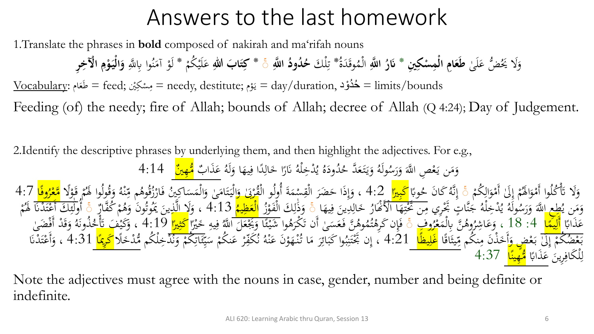# Answers to the last homework

1.Translate the phrases in **bold** composed of nakirah and ma'rifah nouns

ا<br>— وَلَا يَحُضُّ عَلَىٰ **طَعَامِ الْمِسْكِينِ \* نَارُ اللَّهِ** الْمُوقَدَةُ **ء** َ **َ** الْمُوقَدَةُ \* تِلْكَ حُمُودُ اللَّهِ ۚ \* كِتَابَ اللهِ عَلَيْكُمْ \* لَوْ آمَنُوا بِاللَّهِ وَالْيَوْمِ الْآخِرِ مل ِ<br>ِرَ ت **َ** م م<br>م **ء** بر<br>م  $\mathcal{A}$ م **ِ ْ َ**

لْمَام <u>Wocabulary</u>: كُمُوْد — feed; مِشْكِيْن = needy, destitute; يَوْم = day/duration, كَمُوْد = limits/bounds **ء** م  $\overline{a}$ م يا<br>.

Feeding (of) the needy; fire of Allah; bounds of Allah; decree of Allah (Q 4:24); Day of Judgement.

2.Identify the descriptive phrases by underlying them, and then highlight the adjectives. For e.g., لُّودَهُ يُدْخِلْهُ نَارًا خَالِدًا فِيهَا وَلَهُ َ َ ِ ل<br>ا ِ َ ر<br>ا و<br>يە  $\ddot{\phantom{0}}$ ُ مُولَهُ وَيَتَعَدَّ حُ **ء**  $\ddot{\lambda}$ يا<br>. َ وَمَن يَعْصِ اللَّهَ وَرَسُولَهُ وَيَتَعَدَّ حُذُودَهُ يُذْخِلْهُ نَارًا خَالِدًا فِيهَا وَلَهُ عَذَابٌ <mark>مُّهِينٌ</mark><br>. ر<br>ا َ ً<br>ا م يا<br>.  $\mathcal{A}$ َ <u>ء</u><br>-

م وَلَا تَأْكُلُوا أَمْوَالَهُمْ إِلَىٰ أَمْوَالِكُمْ ۚ إِنَّهُ كَانَ حُوبًا <mark>كَبِيرًا</mark> 4:2 ، وَإِذَا حَضَرَ الْقِسْمَةَ أُولُو الْقُرْبَىٰ وَالْيَتَامَىٰ وَالْمَسَاكِينُ فَارْزُقُوهُم مِّنْهُ وَقُولُوا لَهُمْ قَوْلًا <mark>مَّع</mark> <u>ل</u> و<br>. م  $\int$ إ م<br>ر و<br>ر م أ ت<br>. ہ<br>ر i<br>S بر<br>ز  $\int$ إ ب<br>÷ حوباً <mark>كبيراً</mark> ك<del>ن 1</del> ، وإذا حصرُ القِسْمَةُ أُولُو القُرْبيُ واليتاميُ والمساكينَ فارزُقوهُم مِنْهُ وقولوا هُم قولاً <mark>مُعَرَ</mark>ّ  $\overline{\phantom{a}}$  $\ddot{\phantom{0}}$ َ  $\frac{1}{2}$ ت  $\ddot{\cdot}$ ەر<br>ق ه<br>۱ م ِّ ر<br>.  $\int$ إ ہ<br>ِ م و<br>پر ه<br>ذ ِ<br>م ر<br>ر َ م<br>اُ  $\frac{1}{\epsilon}$ ا<br>ا ِ رُولَّهُ يُدْخِلْهُ جُنَّاتٍ تَجْرِي مِن تَحْتِهَا الْأَنْهَارُ خَالِدِّينَ وِ<br>19 يُدْخِلْهُ جُنَّاتٍ تَجْرِي مِن تَحْتِهَا الْأَنْهَارُ خَالِدِينَ وِ .<br>> ِ خ<br>∶ ہے<br>ج  $\frac{1}{2}$ **تنبات**  $\overline{\phantom{a}}$  $\frac{1}{2}$ نن<br>م **بر**<br>بر و<br>يە ُطِعِ اللَّهَ وَرَسُ<sup>ّل</sup> ر<br>ِ َ  $\epsilon$ يا<br>. ر - مستخدم اللَّهَ وَرَسُولَهُ يُدْخِلْهُ جَنَّاتٍ تَجْرِي مِن تَحْتِهَا الْأَعْارُ خَالِدِينَ فِيهَا ۚ وَذَٰلِكَ الْفَوْزُ ا<mark>لْعَظِيمُ</mark> 4:13 ، وَلَا الَّذِينَ يَمُوتُونَ وَهُمْ كُفَّارُ<br>وَمَن يُطِعِ اللَّهَ وَرَسُولَهُ ي ِم<br>: َ ہے<br>، ِ<br>ل ل ا<br>-<br>-و<br>بر مر<br>آ  $\overline{\mathbf{C}}$ ، وَلَا الَّذِينَ يَمُوتُونَ وَهُمْ كُفَّارٌ ۚ أُولَٰئِكَ أَعْتَدْنَا لَهُمْ<br>ولا الَّذِينَ يَمُوتُونَ وَهُمْ كُفَّارٌ ۚ أُولَٰئِكَ أَعْتَدْنَا لَهُمْ م ہ<br>بر .<br>۲ ہ<br>ہ i<br>S  $\frac{1}{2}$ ئم ٰ أ م ت ى<br>ە ب.<br>T حَّذَابًا <mark>أَلِيَمًا</mark> 4: 18 ، وَعَاشِرُوهُنَّ بِالْمَعْرُوفِ ۚ وَٰإِن كَرِهْنُهُوهُنَّ فَعَسَىٰ أَن تَكْرَهُوا شَيْئًا وَيَجْعَلَ اللَّهُ فِيهِ خَيْرً<mark>ا كَثِيرًا</mark> 9:19 ، وَكَيْفَ تَأْخُذُونَهُ وَقَدْ أَفْضَىٰ<br>يُسْتَخَصَّص ء<br>- $\frac{1}{\sqrt{2}}$ ِ<br>ل رُوهن بالمعروف ﴾ فإن كرهتموهن فعسىٰ أن تكرهوا شيئاً ويجعلُ الله<br>مُ – « بَاتًا <mark>بَانٍ أَنَّ</mark> 1.04 – نَ قَوْمِ الْجَرَاءِ - يَا يُوْمِ مِنْ الْحَرَّةِ فَيَ مَنْ حَمَّ م ه<br>ا ى<br>. َ  $\frac{1}{2}$ عر<br>ه ر<br>. ت<br>ا ا<br>-ىد<br>ئە و<br>تە م ِّفُہِ ِ ِ  $\overline{\phantom{0}}$ م<br>بہ ه<br>بر リン م )<br>叉<br>?  $\frac{1}{2}$ ة<br>م ہ<br>ر <u>ت</u><br>\_ و<br>پ بَعْضُكُمْ إِلَىٰ بَعْضٍ وَأَخَذْنَ مِنكُم مِّيثَاقًا <mark>غَلِيظًا</mark> \_4:21 ، إِن بِخْتَنِبُوا كَبَائِرَ مَا تُنْهَوْنَ عَنْهُ نُكَفِّرْ عَنكُمْ سَا<br>اأحَرَانِ مَنْ الْمَرْضَ الْمَحْمَّاتِ الْمَحْمَّاتِ الْمُطْلِطْطَةِ إِنْ بِخ ن  $\overline{\phantom{a}}$ َ ەر<br>م ِ<br>پ م ب<br>.  $\frac{1}{2}$ إ م ب<br>' <u>ة</u><br>— شہ<br>ا —<br>پر <u>ل</u><br>=  $\overline{\mathbf{r}}$  $\ddot{\phantom{0}}$ م ن **ء** م بِ<br>ِم بر<br>ز ه<br>^ **ء** م َ  $\mathcal{L}$ ر<br>. ِ<br>ئى  $\ddot{\cdot}$ ِّهَ إِنْ بَحْتَنِبُوا كَبَائِرَ مَا تُنْهَوْنَ عَنْهُ نُكَفِّرْ عَنكُمْ سَيِّئَاتِكُمْ وَنُذْخِلْكُم مُّدْخَلً<mark>ا كَرِيمًا</mark> 4:31 ، وَأَعْتَدْنَا و<br>بر .<br>بد نز  $\ddot{\lambda}$ ت ن َ م ۔<br>ِن عر<br>م بر  $\frac{1}{2}$ .<br>- $\overline{\phantom{0}}$ ت م َ  $\ddot{\phantom{0}}$ لْكَافِرِينَ عَذَابًا <mark>مُّهِينًا</mark> 4:37 ِ ِ ل  $\ddot{\cdot}$ <u>ء</u><br>- $\frac{1}{\sqrt{2}}$ 

Note the adjectives must agree with the nouns in case, gender, number and being definite or indefinite.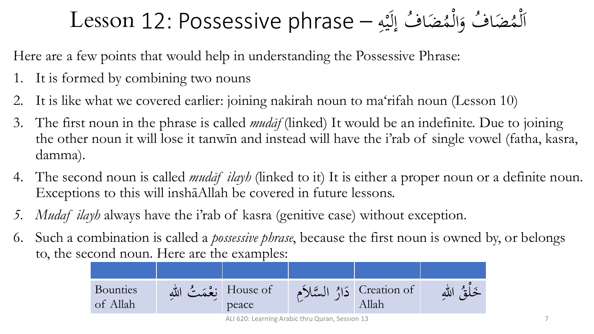### ضَافُ إِلَيْهِ — Lesson 12: Possessive phrase مُض*َ*<br>• ضَافٌ وَالْمُ )<br>ا َ مُض*َ*<br>• مُضَافٌ وَالْمُضَافُ إِلَيْهِ )<br>ا ل  $\frac{1}{2}$ ا ِ  $\ddot{ }$ ه<br>به

Here are a few points that would help in understanding the Possessive Phrase:

- 1. It is formed by combining two nouns
- 2. It is like what we covered earlier: joining nakirah noun to ma'rifah noun (Lesson 10)
- 3. The first noun in the phrase is called *mudāf* (linked) It would be an indefinite. Due to joining the other noun it will lose it tanwīn and instead will have the i'rab of single vowel (fatha, kasra, damma).
- 4. The second noun is called *mudāf ilayh* (linked to it) It is either a proper noun or a definite noun. Exceptions to this will inshāAllah be covered in future lessons.
- *5. Mudaf ilayh* always have the i'rab of kasra (genitive case) without exception.
- 6. Such a combination is called a *possessive phrase*, because the first noun is owned by, or belongs to, the second noun. Here are the examples:

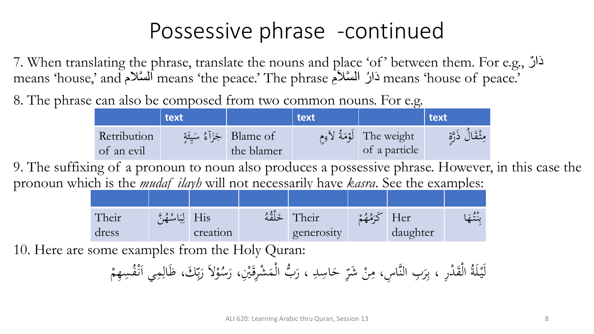### Possessive phrase -continued

7. When translating the phrase, translate the nouns and place 'of' between them. For e.g., ر َدا means 'house,' and ٱلسَّلاَم means 'the peace.' The phrase أَلسَّلام means 'house,' and

8. The phrase can also be composed from two common nouns. For e.g.

|                           | text |                                        | text |                                               | $ $ text        |
|---------------------------|------|----------------------------------------|------|-----------------------------------------------|-----------------|
| Retribution<br>of an evil |      | Blame of جَزَآءُ سَيئَةٍ<br>the blamer |      | The weight   لَوْمَةُ لاَءِم<br>of a particle | وشُقَالَ ذَرَّة |

9. The suffixing of a pronoun to noun also produces a possessive phrase. However, in this case the pronoun which is the *mudaf ilayh* will not necessarily have *kasra*. See the examples:

| Their | His لِبَاسُهُنَّ |          | اخَلْقُهُ | Their      | Her      | $\leq$ $\cdots$ |
|-------|------------------|----------|-----------|------------|----------|-----------------|
| dress |                  | creation |           | generosity | daughter |                 |

10. Here are some examples from the Holy Quran:

رِّ حَاسِدِ ، رَبُّ الْمَشْرِقَيْنِ، ار<br>م ة<br>-نہ<br>نہ  $\blacktriangle$ م ر<br>ا  $\overline{a}$ َ لَيْلَةُ الْقَدْرِ ، بِرَبِ النَّاسِ، مِنْ شَرِّ حَاسِدِ ، رَبُّ الْمَشْرِقَيْنِ، رَسُوْلاَ  $\mathbf{A}$ ر<br>( ِ<br>بہ م  $\ddot{•}$ م م<br>ِ رَسُوْلاً رَبِّكَ،<br>ر ر<br>ِ ِ<br>بِ بد<br>زم ر<br>. رَبِّكَ، ظَالِمِي اَنْفُسِهِمْ م .<br>د  $\int$ ِ<br>ل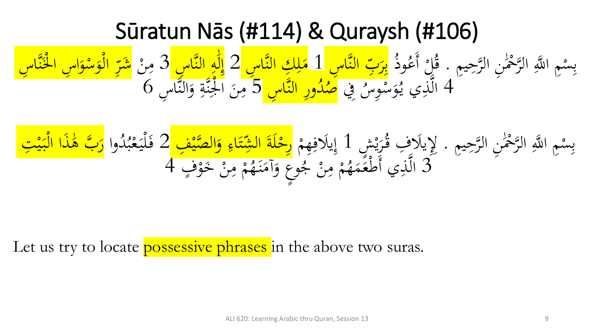### Sūratun Nās (#114) & Quraysh (#106)

يِم حِ َّ ٰ ِن الر َ ْح َّ م الر ِم ا ََّّللِ م ب . ِس ُ وذ ُ ع أَ م ُل َّا ِس ق الن بِ َ ر َّا ِس ِ ِ ِك ب 1 الن ل َ َّا ِس م 2 الن ِ ه ٰ َ ل إ 3 ِ م ن ِ َّ م نْلَ م ا ِس ا َ و م س َ و م ال ِ َشر ا ِس 4 ِِف ُ ِوس م س َ و ُ ي ي ذِ َّ َّا ِس وِر ال الن ُ د ُ َّا ِس ص 5 الن َ و ِ ة َّ نْلِ م ا َ ن م 6 ِ

يِم حِ َّ ٰ ِن الر َ ْح َّ م الر ِم ا ََّّللِ م ش ِس ب . ٍ م ي َ ر ُ ََل ِف ق ِِِل 1 ي م ِهم ِ ََلف ي ِ ِف إ م صي ال َّ َ و ِ اء َ ت شِ ال َ ة َ ل م وا ِرح 2 ُ د ُ ب م ع َ لي َم م ذا ال َ ف ٰ َ ب ه َّ َ ِت ر م ي َ ب ف 3 ٍ م و َ م خ ن ِ م م م ُ ه َ ن َ آم َ ع و ٍ و ُ ج م ن ِ م م م ُ ه َ م َ ع م ط ي أَ ذِ ال 4 َّ

Let us try to locate **possessive phrases** in the above two suras.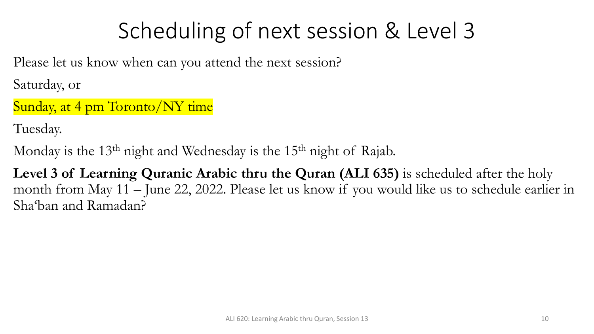# Scheduling of next session & Level 3

Please let us know when can you attend the next session?

Saturday, or

Sunday, at 4 pm Toronto/NY time

Tuesday.

Monday is the  $13<sup>th</sup>$  night and Wednesday is the  $15<sup>th</sup>$  night of Rajab.

**Level 3 of Learning Quranic Arabic thru the Quran (ALI 635)** is scheduled after the holy month from May 11 – June 22, 2022. Please let us know if you would like us to schedule earlier in Sha'ban and Ramadan?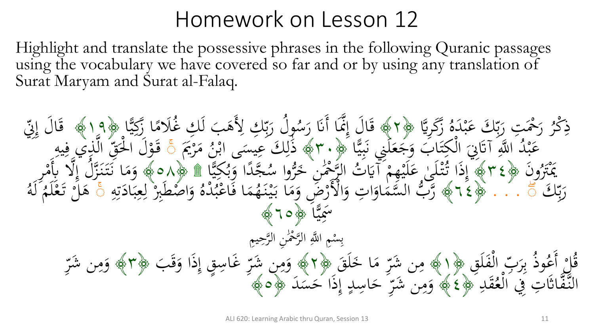### Homework on Lesson 12

Highlight and translate the possessive phrases in the following Quranic passages using the vocabulary we have covered so far and or by using any translation of Surat Maryam and Surat al-Falaq.